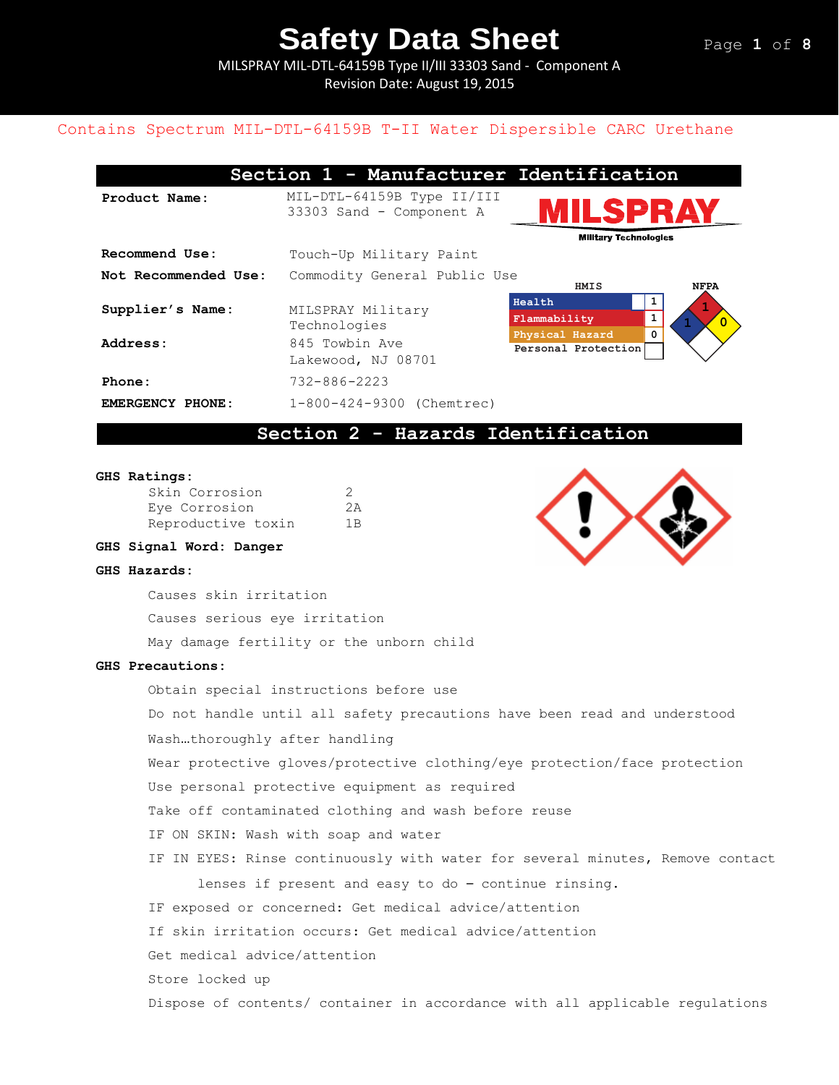MILSPRAY MIL-DTL-64159B Type II/III 33303 Sand - Component A Revision Date: August 19, 2015

# Contains Spectrum MIL-DTL-64159B T-II Water Dispersible CARC Urethane

|                      | Section 1 - Manufacturer Identification                |                                                     |                |
|----------------------|--------------------------------------------------------|-----------------------------------------------------|----------------|
| Product Name:        | MIL-DTL-64159B Type II/III<br>33303 Sand - Component A | <b>ILSPRAY</b><br><b>Military Technologies</b>      |                |
| Recommend Use:       | Touch-Up Military Paint                                |                                                     |                |
| Not Recommended Use: | Commodity General Public Use                           | HMIS                                                | <b>NFPA</b>    |
| Supplier's Name:     | MILSPRAY Military<br>Technologies                      | Health<br>1<br>Flammability<br>0<br>Physical Hazard | $\overline{0}$ |
| Address:             | 845 Towbin Ave<br>Lakewood, NJ 08701                   | Personal Protection                                 |                |
| Phone:               | $732 - 886 - 2223$                                     |                                                     |                |
| EMERGENCY PHONE:     | 1-800-424-9300 (Chemtrec)                              |                                                     |                |

# **Section 2 - Hazards Identification**

#### **GHS Ratings:**

| Skin Corrosion     | 2   |
|--------------------|-----|
| Eye Corrosion      | 2A  |
| Reproductive toxin | 1 B |

### **GHS Signal Word: Danger**

#### **GHS Hazards:**

Causes skin irritation

Causes serious eye irritation

May damage fertility or the unborn child

### **GHS Precautions:**

Obtain special instructions before use Do not handle until all safety precautions have been read and understood Wash…thoroughly after handling Wear protective gloves/protective clothing/eye protection/face protection Use personal protective equipment as required Take off contaminated clothing and wash before reuse IF ON SKIN: Wash with soap and water IF IN EYES: Rinse continuously with water for several minutes, Remove contact lenses if present and easy to do – continue rinsing. IF exposed or concerned: Get medical advice/attention If skin irritation occurs: Get medical advice/attention Get medical advice/attention Store locked up Dispose of contents/ container in accordance with all applicable regulations

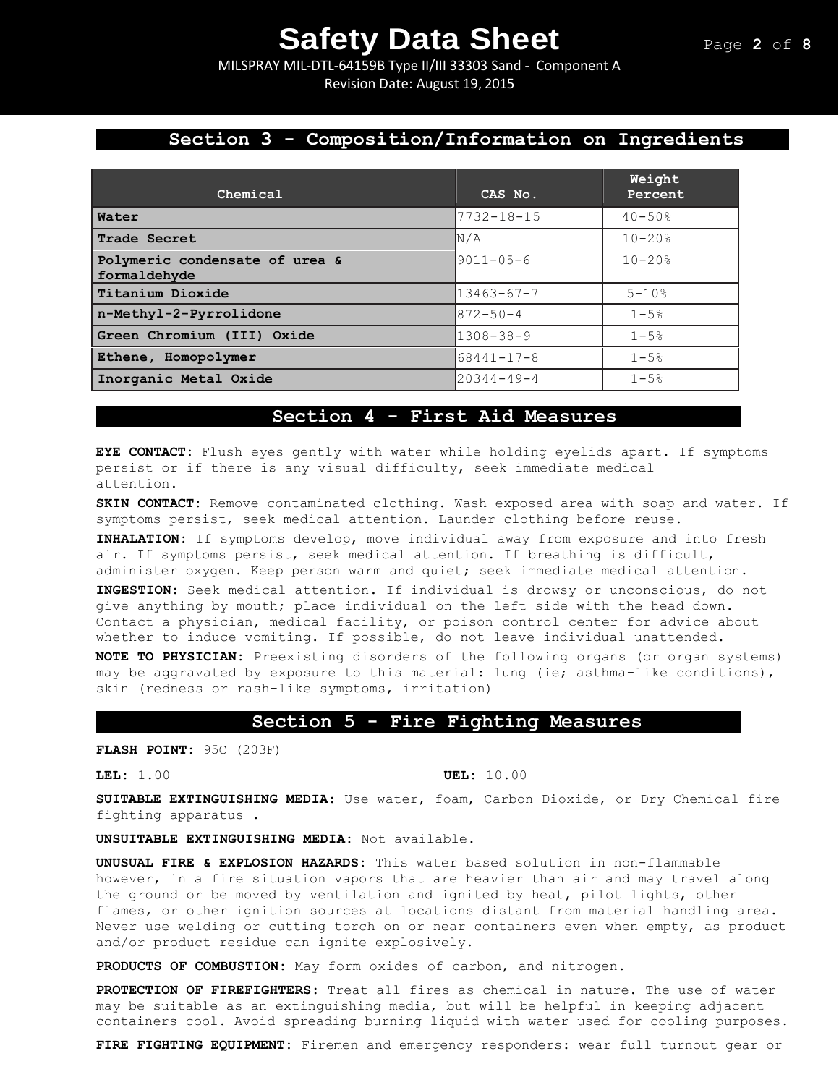MILSPRAY MIL-DTL-64159B Type II/III 33303 Sand - Component A Revision Date: August 19, 2015

# **Section 3 - Composition/Information on Ingredients**

| Chemical                                       | CAS No.          | Weight<br>Percent |
|------------------------------------------------|------------------|-------------------|
| Water                                          | $7732 - 18 - 15$ | $40 - 50%$        |
| Trade Secret                                   | N/A              | $10 - 20$ %       |
| Polymeric condensate of urea &<br>formaldehyde | $19011 - 05 - 6$ | $10 - 20$ %       |
| Titanium Dioxide                               | $13463 - 67 - 7$ | $5 - 10%$         |
| n-Methyl-2-Pyrrolidone                         | $872 - 50 - 4$   | $1 - 5%$          |
| Green Chromium (III) Oxide                     | $1308 - 38 - 9$  | $1 - 5%$          |
| Ethene, Homopolymer                            | $68441 - 17 - 8$ | $1 - 5%$          |
| Inorganic Metal Oxide                          | $20344 - 49 - 4$ | $1 - 5%$          |

# **Section 4 - First Aid Measures**

**EYE CONTACT:** Flush eyes gently with water while holding eyelids apart. If symptoms persist or if there is any visual difficulty, seek immediate medical attention.

**SKIN CONTACT:** Remove contaminated clothing. Wash exposed area with soap and water. If symptoms persist, seek medical attention. Launder clothing before reuse.

**INHALATION:** If symptoms develop, move individual away from exposure and into fresh air. If symptoms persist, seek medical attention. If breathing is difficult, administer oxygen. Keep person warm and quiet; seek immediate medical attention.

**INGESTION:** Seek medical attention. If individual is drowsy or unconscious, do not give anything by mouth; place individual on the left side with the head down. Contact a physician, medical facility, or poison control center for advice about whether to induce vomiting. If possible, do not leave individual unattended. **NOTE TO PHYSICIAN:** Preexisting disorders of the following organs (or organ systems) may be aggravated by exposure to this material: lung (ie; asthma-like conditions), skin (redness or rash-like symptoms, irritation)

### **Section 5 - Fire Fighting Measures**

**FLASH POINT:** 95C (203F)

#### **LEL:** 1.00 **UEL:** 10.00

**SUITABLE EXTINGUISHING MEDIA:** Use water, foam, Carbon Dioxide, or Dry Chemical fire fighting apparatus .

**UNSUITABLE EXTINGUISHING MEDIA:** Not available.

**UNUSUAL FIRE & EXPLOSION HAZARDS:** This water based solution in non-flammable however, in a fire situation vapors that are heavier than air and may travel along the ground or be moved by ventilation and ignited by heat, pilot lights, other flames, or other ignition sources at locations distant from material handling area. Never use welding or cutting torch on or near containers even when empty, as product and/or product residue can ignite explosively.

**PRODUCTS OF COMBUSTION:** May form oxides of carbon, and nitrogen.

**PROTECTION OF FIREFIGHTERS:** Treat all fires as chemical in nature. The use of water may be suitable as an extinguishing media, but will be helpful in keeping adjacent containers cool. Avoid spreading burning liquid with water used for cooling purposes.

**FIRE FIGHTING EQUIPMENT:** Firemen and emergency responders: wear full turnout gear or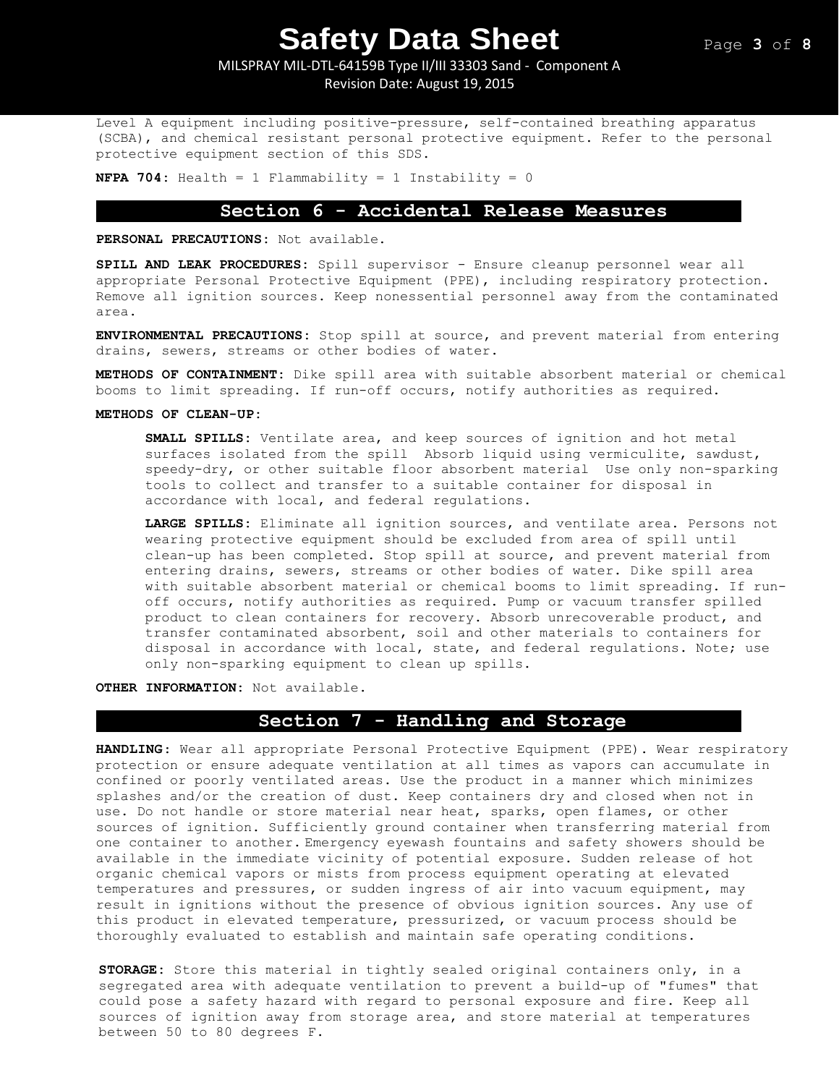# MILSPRAY MIL-DTL-64159B Type II/III 33303 Sand - Component A

Revision Date: August 19, 2015

Level A equipment including positive-pressure, self-contained breathing apparatus (SCBA), and chemical resistant personal protective equipment. Refer to the personal protective equipment section of this SDS.

**NFPA 704:** Health = 1 Flammability = 1 Instability = 0

### **Section 6 - Accidental Release Measures**

**PERSONAL PRECAUTIONS:** Not available.

**SPILL AND LEAK PROCEDURES:** Spill supervisor - Ensure cleanup personnel wear all appropriate Personal Protective Equipment (PPE), including respiratory protection. Remove all ignition sources. Keep nonessential personnel away from the contaminated area.

**ENVIRONMENTAL PRECAUTIONS:** Stop spill at source, and prevent material from entering drains, sewers, streams or other bodies of water.

**METHODS OF CONTAINMENT:** Dike spill area with suitable absorbent material or chemical booms to limit spreading. If run-off occurs, notify authorities as required.

#### **METHODS OF CLEAN-UP:**

**SMALL SPILLS:** Ventilate area, and keep sources of ignition and hot metal surfaces isolated from the spill Absorb liquid using vermiculite, sawdust, speedy-dry, or other suitable floor absorbent material Use only non-sparking tools to collect and transfer to a suitable container for disposal in accordance with local, and federal regulations.

**LARGE SPILLS:** Eliminate all ignition sources, and ventilate area. Persons not wearing protective equipment should be excluded from area of spill until clean-up has been completed. Stop spill at source, and prevent material from entering drains, sewers, streams or other bodies of water. Dike spill area with suitable absorbent material or chemical booms to limit spreading. If runoff occurs, notify authorities as required. Pump or vacuum transfer spilled product to clean containers for recovery. Absorb unrecoverable product, and transfer contaminated absorbent, soil and other materials to containers for disposal in accordance with local, state, and federal regulations. Note; use only non-sparking equipment to clean up spills.

**OTHER INFORMATION:** Not available.

# **Section 7 - Handling and Storage**

**HANDLING**: Wear all appropriate Personal Protective Equipment (PPE). Wear respiratory protection or ensure adequate ventilation at all times as vapors can accumulate in confined or poorly ventilated areas. Use the product in a manner which minimizes splashes and/or the creation of dust. Keep containers dry and closed when not in use. Do not handle or store material near heat, sparks, open flames, or other sources of ignition. Sufficiently ground container when transferring material from one container to another. Emergency eyewash fountains and safety showers should be available in the immediate vicinity of potential exposure. Sudden release of hot organic chemical vapors or mists from process equipment operating at elevated temperatures and pressures, or sudden ingress of air into vacuum equipment, may result in ignitions without the presence of obvious ignition sources. Any use of this product in elevated temperature, pressurized, or vacuum process should be thoroughly evaluated to establish and maintain safe operating conditions.

**STORAGE:** Store this material in tightly sealed original containers only, in a segregated area with adequate ventilation to prevent a build-up of "fumes" that could pose a safety hazard with regard to personal exposure and fire. Keep all sources of ignition away from storage area, and store material at temperatures between 50 to 80 degrees F.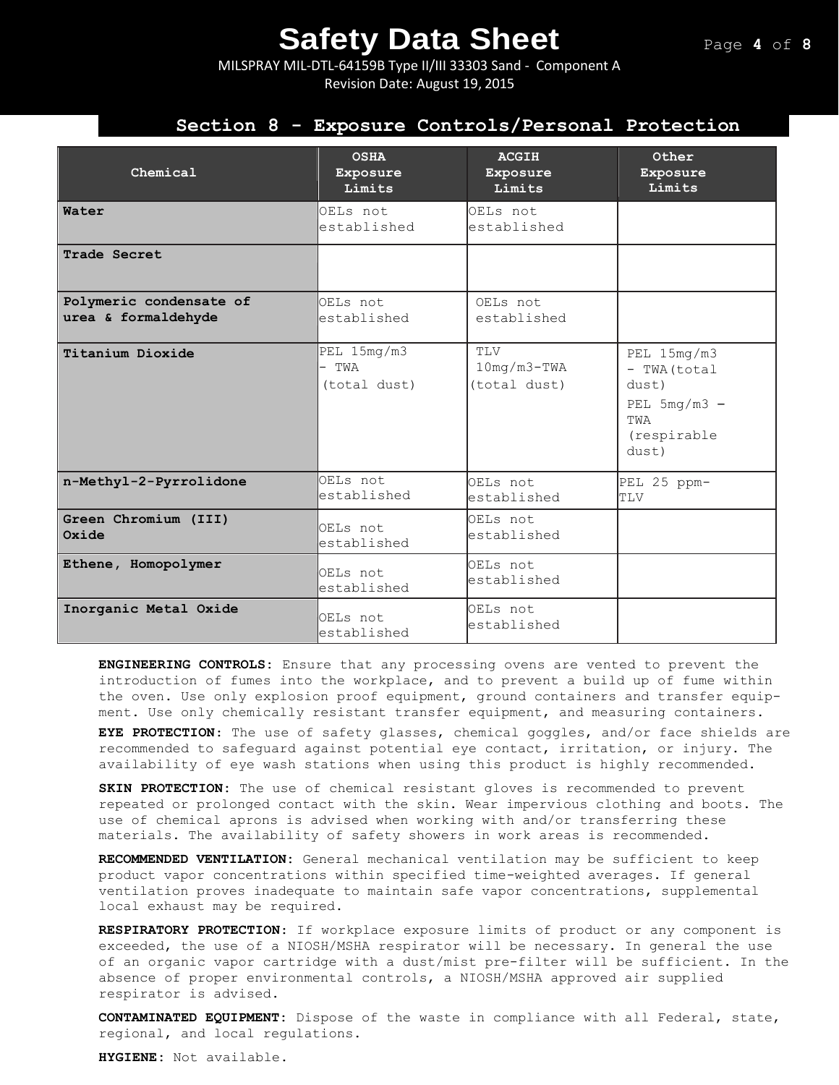MILSPRAY MIL-DTL-64159B Type II/III 33303 Sand - Component A Revision Date: August 19, 2015

## **Section 8 - Exposure Controls/Personal Protection**

| Chemical                                       | <b>OSHA</b><br>Exposure<br>Limits    | <b>ACGIH</b><br>Exposure<br>Limits   | Other<br>Exposure<br>Limits                                                           |
|------------------------------------------------|--------------------------------------|--------------------------------------|---------------------------------------------------------------------------------------|
| Water                                          | OELs not<br>established              | OELs not<br>established              |                                                                                       |
| Trade Secret                                   |                                      |                                      |                                                                                       |
| Polymeric condensate of<br>urea & formaldehyde | OELs not<br>established              | OELs not<br>established              |                                                                                       |
| Titanium Dioxide                               | PEL 15mg/m3<br>- TWA<br>(total dust) | TLV<br>$10mg/m3-TWA$<br>(total dust) | PEL 15mg/m3<br>- TWA (total<br>dust)<br>PEL $5mg/m3 -$<br>TWA<br>(respirable<br>dust) |
| n-Methyl-2-Pyrrolidone                         | OELs not<br>established              | OELS not<br>established              | PEL 25 ppm-<br>TLV                                                                    |
| Green Chromium (III)<br>Oxide                  | OELS not<br>established              | OELs not<br>established              |                                                                                       |
| Ethene, Homopolymer                            | OELs not<br>established              | OELs not<br>established              |                                                                                       |
| Inorganic Metal Oxide                          | OELs not<br>established              | OELs not<br>established              |                                                                                       |

**ENGINEERING CONTROLS:** Ensure that any processing ovens are vented to prevent the introduction of fumes into the workplace, and to prevent a build up of fume within the oven. Use only explosion proof equipment, ground containers and transfer equipment. Use only chemically resistant transfer equipment, and measuring containers.

**EYE PROTECTION**: The use of safety glasses, chemical goggles, and/or face shields are recommended to safeguard against potential eye contact, irritation, or injury. The availability of eye wash stations when using this product is highly recommended.

**SKIN PROTECTION:** The use of chemical resistant gloves is recommended to prevent repeated or prolonged contact with the skin. Wear impervious clothing and boots. The use of chemical aprons is advised when working with and/or transferring these materials. The availability of safety showers in work areas is recommended**.** 

**RECOMMENDED VENTILATION:** General mechanical ventilation may be sufficient to keep product vapor concentrations within specified time-weighted averages. If general ventilation proves inadequate to maintain safe vapor concentrations, supplemental local exhaust may be required.

**RESPIRATORY PROTECTION**: If workplace exposure limits of product or any component is exceeded, the use of a NIOSH/MSHA respirator will be necessary. In general the use of an organic vapor cartridge with a dust/mist pre-filter will be sufficient. In the absence of proper environmental controls, a NIOSH/MSHA approved air supplied respirator is advised.

**CONTAMINATED EQUIPMENT:** Dispose of the waste in compliance with all Federal, state, regional, and local regulations.

**HYGIENE:** Not available.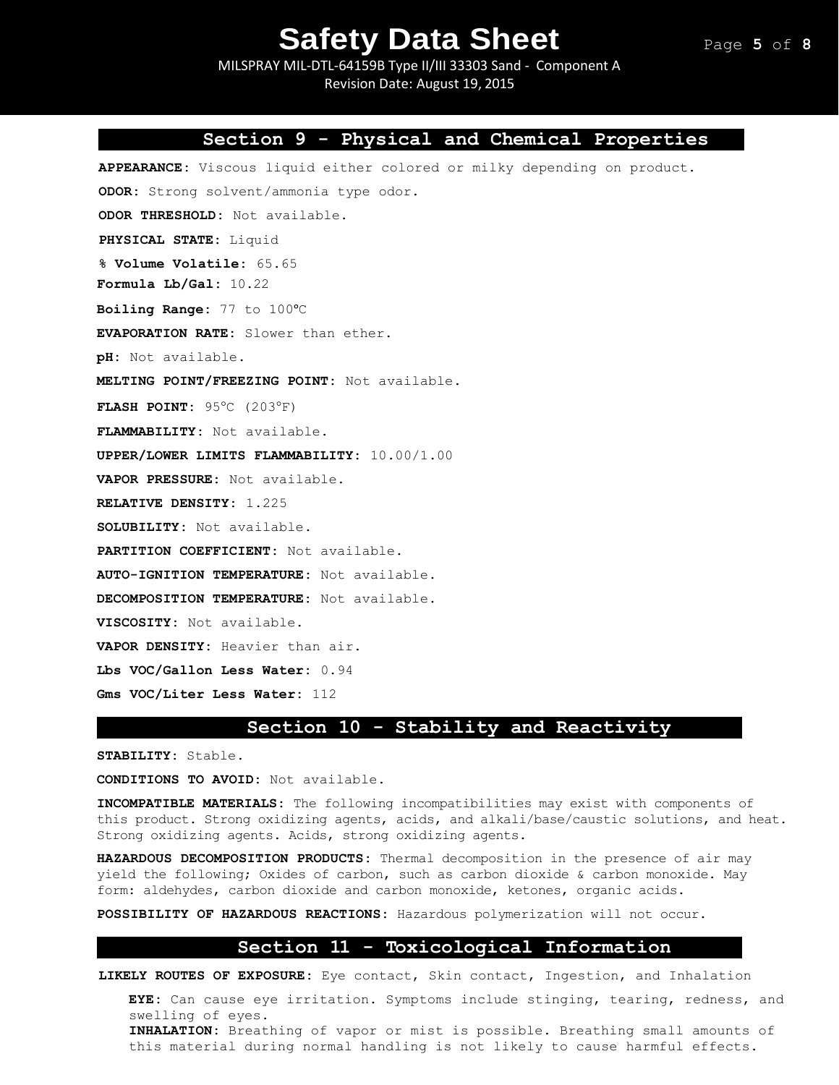MILSPRAY MIL-DTL-64159B Type II/III 33303 Sand - Component A Revision Date: August 19, 2015

### **Section 9 - Physical and Chemical Properties**

**APPEARANCE:** Viscous liquid either colored or milky depending on product. **ODOR:** Strong solvent/ammonia type odor. **ODOR THRESHOLD:** Not available. **PHYSICAL STATE:** Liquid **% Volume Volatile:** 65.65 **Formula Lb/Gal:** 10.22 **Boiling Range:** 77 to 100°C **EVAPORATION RATE:** Slower than ether. **pH:** Not available. **MELTING POINT/FREEZING POINT:** Not available. **FLASH POINT:** 95°C (203°F) **FLAMMABILITY:** Not available. **UPPER/LOWER LIMITS FLAMMABILITY:** 10.00/1.00 **VAPOR PRESSURE:** Not available. **RELATIVE DENSITY:** 1.225 **SOLUBILITY:** Not available. **PARTITION COEFFICIENT:** Not available. **AUTO-IGNITION TEMPERATURE:** Not available. **DECOMPOSITION TEMPERATURE:** Not available. **VISCOSITY:** Not available. **VAPOR DENSITY:** Heavier than air. **Lbs VOC/Gallon Less Water:** 0.94 **Gms VOC/Liter Less Water:** 112

# **Section 10 - Stability and Reactivity**

**STABILITY:** Stable.

**CONDITIONS TO AVOID:** Not available.

**INCOMPATIBLE MATERIALS:** The following incompatibilities may exist with components of this product. Strong oxidizing agents, acids, and alkali/base/caustic solutions, and heat. Strong oxidizing agents. Acids, strong oxidizing agents.

**HAZARDOUS DECOMPOSITION PRODUCTS:** Thermal decomposition in the presence of air may yield the following; Oxides of carbon, such as carbon dioxide & carbon monoxide. May form: aldehydes, carbon dioxide and carbon monoxide, ketones, organic acids.

**POSSIBILITY OF HAZARDOUS REACTIONS:** Hazardous polymerization will not occur.

### **Section 11 - Toxicological Information**

**LIKELY ROUTES OF EXPOSURE:** Eye contact, Skin contact, Ingestion, and Inhalation

**EYE:** Can cause eye irritation. Symptoms include stinging, tearing, redness, and swelling of eyes. **INHALATION:** Breathing of vapor or mist is possible. Breathing small amounts of this material during normal handling is not likely to cause harmful effects.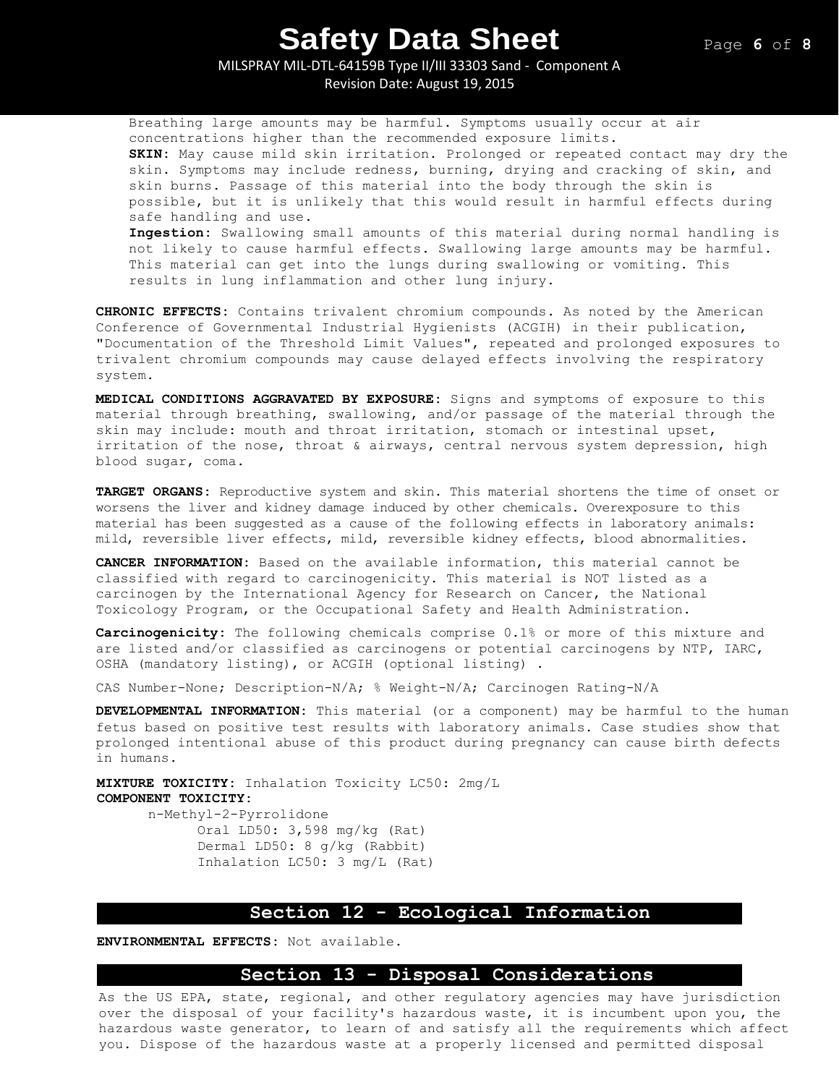MILSPRAY MIL-DTL-64159B Type II/III 33303 Sand - Component A Revision Date: August 19, 2015

Breathing large amounts may be harmful. Symptoms usually occur at air concentrations higher than the recommended exposure limits. **SKIN:** May cause mild skin irritation. Prolonged or repeated contact may dry the skin. Symptoms may include redness, burning, drying and cracking of skin, and skin burns. Passage of this material into the body through the skin is possible, but it is unlikely that this would result in harmful effects during safe handling and use. **Ingestion:** Swallowing small amounts of this material during normal handling is not likely to cause harmful effects. Swallowing large amounts may be harmful. This material can get into the lungs during swallowing or vomiting. This results in lung inflammation and other lung injury.

**CHRONIC EFFECTS:** Contains trivalent chromium compounds. As noted by the American Conference of Governmental Industrial Hygienists (ACGIH) in their publication, "Documentation of the Threshold Limit Values", repeated and prolonged exposures to trivalent chromium compounds may cause delayed effects involving the respiratory system.

**MEDICAL CONDITIONS AGGRAVATED BY EXPOSURE:** Signs and symptoms of exposure to this material through breathing, swallowing, and/or passage of the material through the skin may include: mouth and throat irritation, stomach or intestinal upset, irritation of the nose, throat & airways, central nervous system depression, high blood sugar, coma.

**TARGET ORGANS:** Reproductive system and skin. This material shortens the time of onset or worsens the liver and kidney damage induced by other chemicals. Overexposure to this material has been suggested as a cause of the following effects in laboratory animals: mild, reversible liver effects, mild, reversible kidney effects, blood abnormalities.

**CANCER INFORMATION:** Based on the available information, this material cannot be classified with regard to carcinogenicity. This material is NOT listed as a carcinogen by the International Agency for Research on Cancer, the National Toxicology Program, or the Occupational Safety and Health Administration.

**Carcinogenicity:** The following chemicals comprise 0.1% or more of this mixture and are listed and/or classified as carcinogens or potential carcinogens by NTP, IARC, OSHA (mandatory listing), or ACGIH (optional listing) .

CAS Number-None; Description-N/A; % Weight-N/A; Carcinogen Rating-N/A

**DEVELOPMENTAL INFORMATION:** This material (or a component) may be harmful to the human fetus based on positive test results with laboratory animals. Case studies show that prolonged intentional abuse of this product during pregnancy can cause birth defects in humans.

**MIXTURE TOXICITY:** Inhalation Toxicity LC50: 2mg/L **COMPONENT TOXICITY:**

n-Methyl-2-Pyrrolidone Oral LD50: 3,598 mg/kg (Rat) Dermal LD50: 8 g/kg (Rabbit) Inhalation LC50: 3 mg/L (Rat)

### **Section 12 - Ecological Information**

**ENVIRONMENTAL EFFECTS:** Not available.

### **Section 13 - Disposal Considerations**

As the US EPA, state, regional, and other regulatory agencies may have jurisdiction over the disposal of your facility's hazardous waste, it is incumbent upon you, the hazardous waste generator, to learn of and satisfy all the requirements which affect you. Dispose of the hazardous waste at a properly licensed and permitted disposal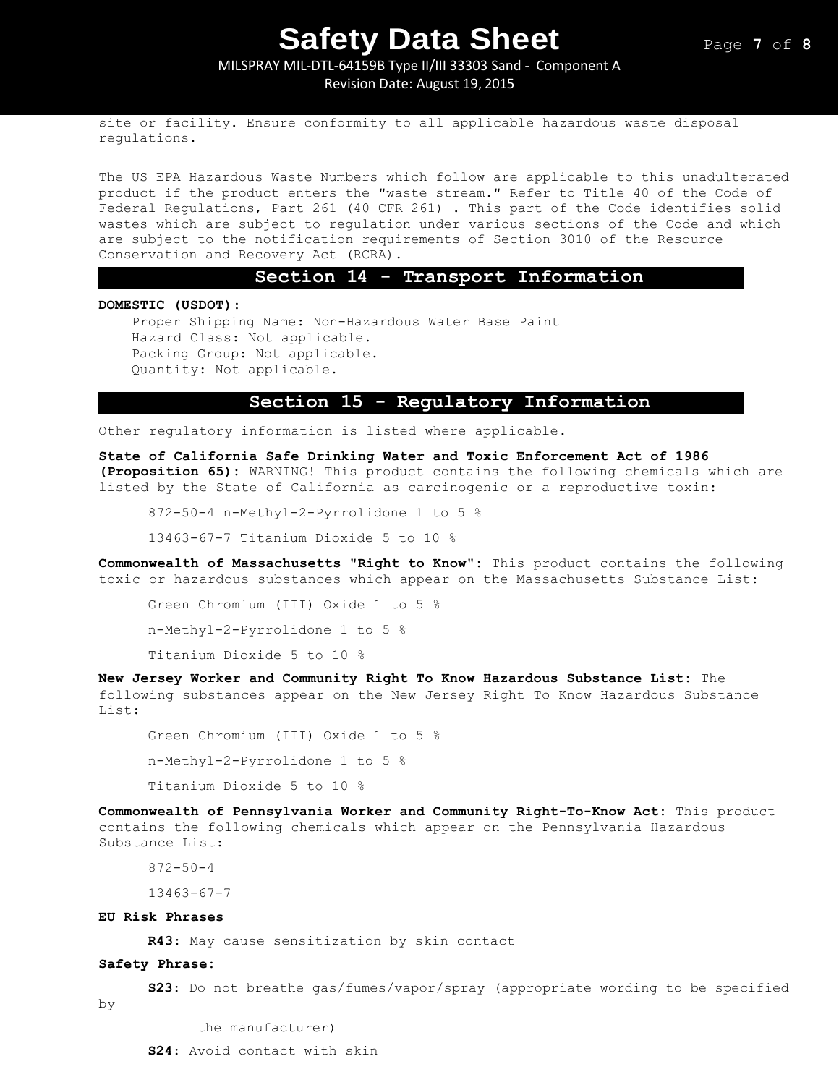### MILSPRAY MIL-DTL-64159B Type II/III 33303 Sand - Component A Revision Date: August 19, 2015

site or facility. Ensure conformity to all applicable hazardous waste disposal regulations.

The US EPA Hazardous Waste Numbers which follow are applicable to this unadulterated product if the product enters the "waste stream." Refer to Title 40 of the Code of Federal Regulations, Part 261 (40 CFR 261) . This part of the Code identifies solid wastes which are subject to regulation under various sections of the Code and which are subject to the notification requirements of Section 3010 of the Resource Conservation and Recovery Act (RCRA).

### **Section 14 - Transport Information**

**DOMESTIC (USDOT):**

Proper Shipping Name: Non-Hazardous Water Base Paint Hazard Class: Not applicable. Packing Group: Not applicable. Quantity: Not applicable.

### **Section 15 - Regulatory Information**

Other regulatory information is listed where applicable.

**State of California Safe Drinking Water and Toxic Enforcement Act of 1986 (Proposition 65):** WARNING! This product contains the following chemicals which are listed by the State of California as carcinogenic or a reproductive toxin:

872-50-4 n-Methyl-2-Pyrrolidone 1 to 5 %

13463-67-7 Titanium Dioxide 5 to 10 %

**Commonwealth of Massachusetts "Right to Know":** This product contains the following toxic or hazardous substances which appear on the Massachusetts Substance List:

Green Chromium (III) Oxide 1 to 5 % n-Methyl-2-Pyrrolidone 1 to 5 %

Titanium Dioxide 5 to 10 %

**New Jersey Worker and Community Right To Know Hazardous Substance List:** The following substances appear on the New Jersey Right To Know Hazardous Substance List:

Green Chromium (III) Oxide 1 to 5 % n-Methyl-2-Pyrrolidone 1 to 5 % Titanium Dioxide 5 to 10 %

**Commonwealth of Pennsylvania Worker and Community Right-To-Know Act:** This product contains the following chemicals which appear on the Pennsylvania Hazardous Substance List:

872-50-4

13463-67-7

#### **EU Risk Phrases**

**R43**: May cause sensitization by skin contact

#### **Safety Phrase:**

**S23**: Do not breathe gas/fumes/vapor/spray (appropriate wording to be specified

by

the manufacturer)

**S24**: Avoid contact with skin